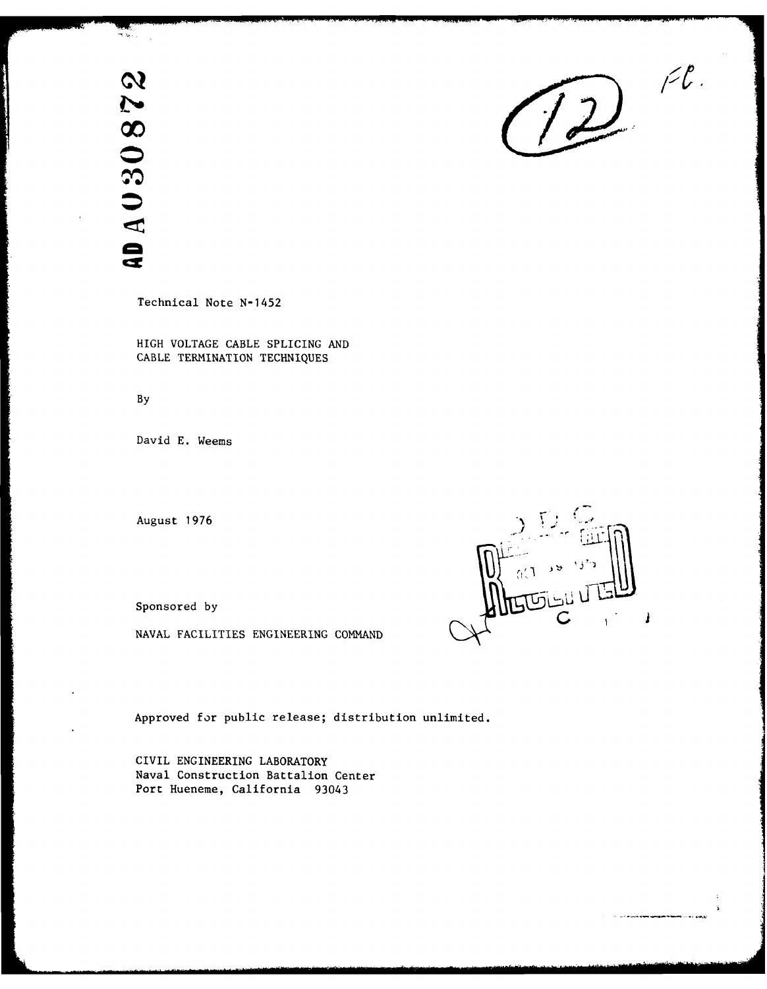**40A030872** 

أردق الأ

Technical Note **N-1452**

HIGH **VOLTAGE CABLE** SPLICING **AND CABLE TERMINATION TECHNIQUES**

**By**

David **E.** Weems

August **1976**

**NAVAL** FACILITIES **ENGINEERING COMMAND**

Approved for public release; distribution unlimited.

CIVIL ENGINEERING LABORATORY Naval Construction Battalion Center Port Hueneme, California 93043



 $D^{\prime\prime}$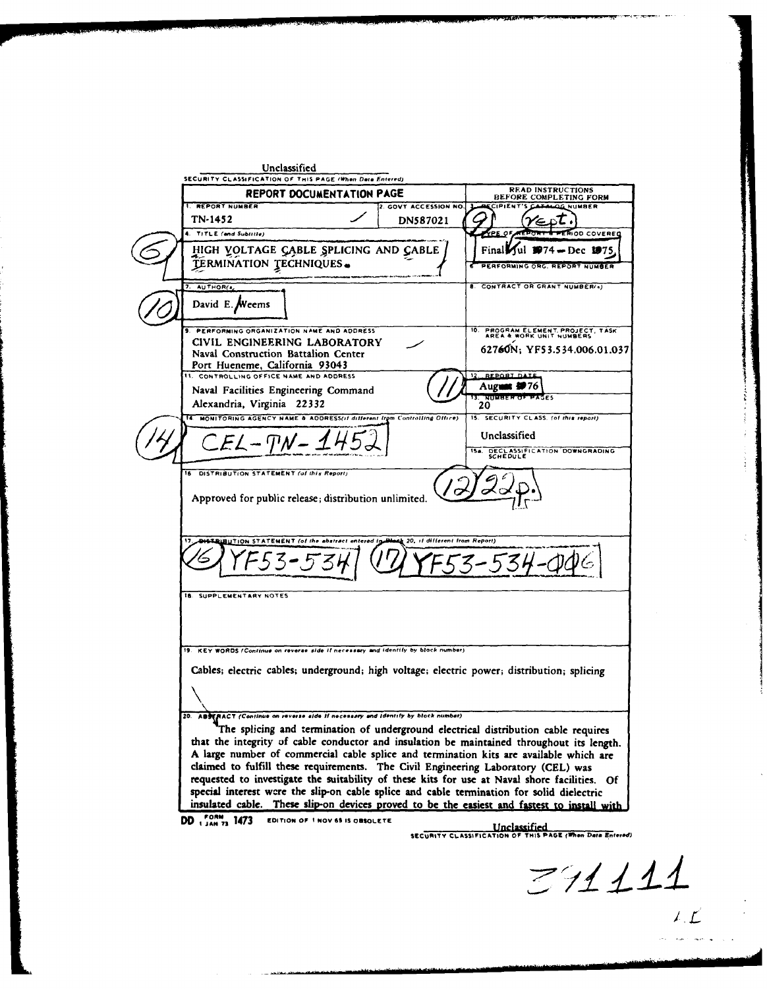Unclassified SECURITY **CLASSIFICATION** OF **TIS PAGE** *014the* **Data** PnlcrdJ **REPORT DOCUMENTATION PAGE** BEFORE COMPLETING FORM GOVT ACCESSION NO. LACCIPIENT'S CATALOG NUMBER TN-1452  $\angle$  **DN587021**  $\angle$   $\angle$   $\angle$ ьt, **1. TITLE (and Subiritie) CONCRECTED ACCOUNT A PERIOD COVERED** HIGH YOLTAGE CABLE SPLICING AND CABLE | | | Final Jul 1974 - Dec 1975 **TERMINATION TECHNIQUES.** *Cf Cf Cf PERFORMING ORG. REPORT* AUTHOR(A) **CONTRACT OR GRANT NUMBER(s)** David E. Weems 9. PRFOMINGORGNIZTIONNAM ANDADDESS10. **PROGRAM ELEMENT** PROJECT, TASK **S. PRFOMINGORGNIZTIONNAM ANDADDESSAREA** & WORK UNIT **NUMBERS** CIVIL ENGINEERING LABORATORY<br>
Naval Construction Battalion Center<br>
Port Hueneme, California 93043 CONTROLLING OFFICE NAME AND ADDRESS REPORT DAT **I4 August 9976**<br> **I4 Alexandria, Virginia** 22332<br> **I4 Alexandria, Virginia 22332 4. MONITORING AGENCY NAME & ADDRESS(if different trom Controlling Office)** 15. SECURITY CLASS. (of this report) Unclassified  $EL - T M - 1452$ DISTRIBUTION STATEMENT (of this Report)  $\sigma$ Approved for public release; distribution unlimited. 20, it different from Report 34 **SUPPLEMENTARY NOTES** 19. KEY WORDS (Continue on reverse side if necessary and identity by block number). Cables; electric cables; underground; high voltage; electric power; distribution; splicing **ABSERACT** (Continue on reverse side if necessary and identity by block number) The splicing and termination of underground electrical distribution cable requires that the integrity **of** cable conductor and insulation **be** maintained throughout its length. **<sup>A</sup>**large number of commercial cable splice and termination kits are available which are claimed to fulfill these requirements. The Civil Engineering Laboratory **(CEL)** was requested to investigate the suitability of these kits for use at Naval shore facilities. **of** special interest wcre the slip-on cable splice and cable termination for solid dielectric insulated cable. These slip-on devices proved to be the easiest and fastest to install with **DD 1** JAN 73 **1473** EDITION OF I NOV 65 IS OBSOLETE **SECURITY CLASSIFICATION OF THIS PAGE (When Data Entered)** 

 $27111$  $\mathcal{L}(\mathcal{L})$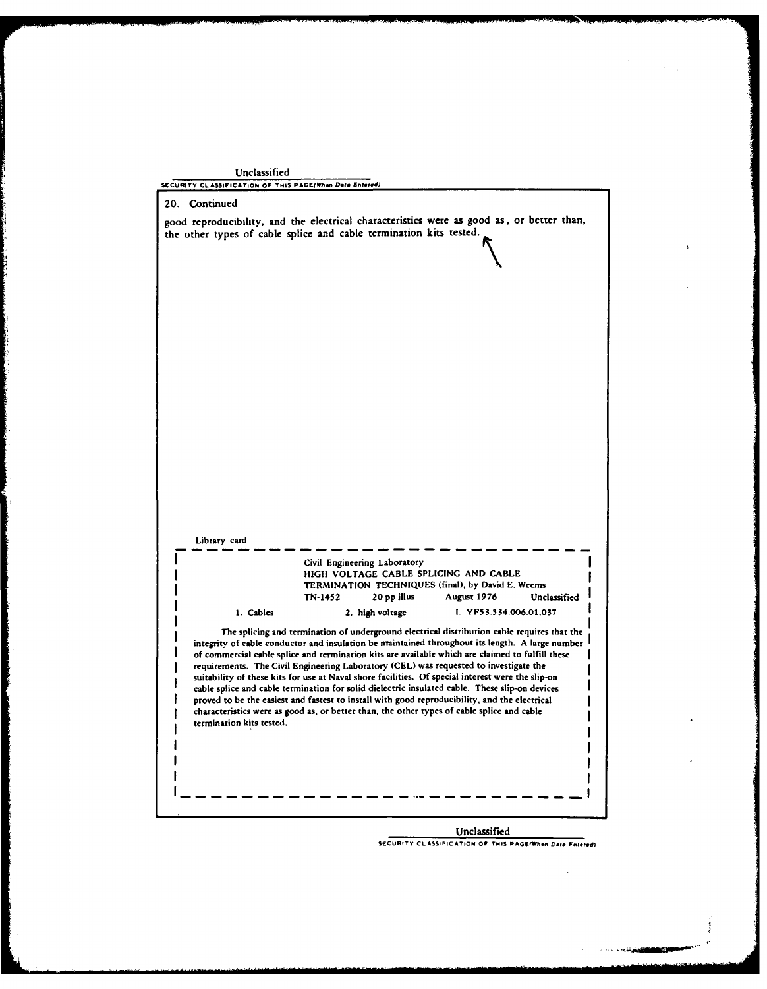| Unclassified<br>SECURITY CLASSIFICATION OF THIS PAGE(When Date Entered) |                                                                                                                                                                                                                                                                                                                                                                                                                                                                                                                                                                                                                                                                                                                                                                                                   |                             |  |
|-------------------------------------------------------------------------|---------------------------------------------------------------------------------------------------------------------------------------------------------------------------------------------------------------------------------------------------------------------------------------------------------------------------------------------------------------------------------------------------------------------------------------------------------------------------------------------------------------------------------------------------------------------------------------------------------------------------------------------------------------------------------------------------------------------------------------------------------------------------------------------------|-----------------------------|--|
| Continued<br>20.                                                        |                                                                                                                                                                                                                                                                                                                                                                                                                                                                                                                                                                                                                                                                                                                                                                                                   |                             |  |
|                                                                         | good reproducibility, and the electrical characteristics were as good as, or better than,<br>the other types of cable splice and cable termination kits tested.                                                                                                                                                                                                                                                                                                                                                                                                                                                                                                                                                                                                                                   |                             |  |
|                                                                         |                                                                                                                                                                                                                                                                                                                                                                                                                                                                                                                                                                                                                                                                                                                                                                                                   |                             |  |
|                                                                         |                                                                                                                                                                                                                                                                                                                                                                                                                                                                                                                                                                                                                                                                                                                                                                                                   |                             |  |
|                                                                         |                                                                                                                                                                                                                                                                                                                                                                                                                                                                                                                                                                                                                                                                                                                                                                                                   |                             |  |
|                                                                         |                                                                                                                                                                                                                                                                                                                                                                                                                                                                                                                                                                                                                                                                                                                                                                                                   |                             |  |
|                                                                         |                                                                                                                                                                                                                                                                                                                                                                                                                                                                                                                                                                                                                                                                                                                                                                                                   |                             |  |
|                                                                         |                                                                                                                                                                                                                                                                                                                                                                                                                                                                                                                                                                                                                                                                                                                                                                                                   |                             |  |
|                                                                         |                                                                                                                                                                                                                                                                                                                                                                                                                                                                                                                                                                                                                                                                                                                                                                                                   |                             |  |
| Library card                                                            |                                                                                                                                                                                                                                                                                                                                                                                                                                                                                                                                                                                                                                                                                                                                                                                                   |                             |  |
|                                                                         | Civil Engineering Laboratory<br>HIGH VOLTAGE CABLE SPLICING AND CABLE<br>TERMINATION TECHNIQUES (final), by David E. Weems                                                                                                                                                                                                                                                                                                                                                                                                                                                                                                                                                                                                                                                                        |                             |  |
|                                                                         | TN-1452<br>20 pp illus                                                                                                                                                                                                                                                                                                                                                                                                                                                                                                                                                                                                                                                                                                                                                                            | August 1976<br>Unclassified |  |
| 1. Cables                                                               | 2. high voltage                                                                                                                                                                                                                                                                                                                                                                                                                                                                                                                                                                                                                                                                                                                                                                                   | I. YF53.534.006.01.037      |  |
| termination kits tested.                                                | The splicing and termination of underground electrical distribution cable requires that the<br>integrity of cable conductor and insulation be maintained throughout its length. A large number<br>of commercial cable splice and termination kits are available which are claimed to fulfill these<br>requirements. The Civil Engineering Laboratory (CEL) was requested to investigate the<br>suitability of these kits for use at Naval shore facilities. Of special interest were the slip-on<br>cable splice and cable termination for solid dielectric insulated cable. These slip-on devices<br>proved to be the easiest and fastest to install with good reproducibility, and the electrical<br>characteristics were as good as, or better than, the other types of cable splice and cable |                             |  |
|                                                                         |                                                                                                                                                                                                                                                                                                                                                                                                                                                                                                                                                                                                                                                                                                                                                                                                   |                             |  |
|                                                                         |                                                                                                                                                                                                                                                                                                                                                                                                                                                                                                                                                                                                                                                                                                                                                                                                   |                             |  |

È.

**Contract Contract** 

الكتاب المستقلة المستقلة المستقلة المستقلة المستقلة المستقلة المستقلة المستقلة المستقلة المستقلة المستقلة المستقلة

**Unclassified SECURITY CLASSIFICATION OF THIS PAGEfWhen Dole** *FnIe-d)*

 $\sim 40$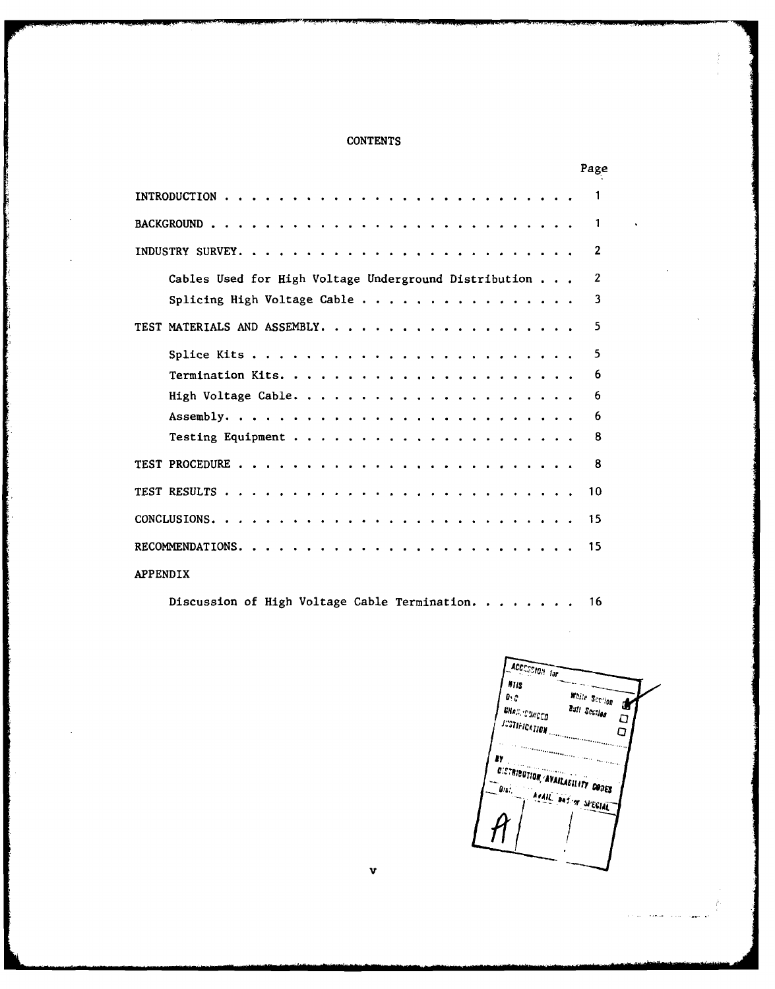## **CONTENTS**

|                  |                                                       |  |  |  |  |  |  |  |  |  |  |  |  | Page           |
|------------------|-------------------------------------------------------|--|--|--|--|--|--|--|--|--|--|--|--|----------------|
|                  |                                                       |  |  |  |  |  |  |  |  |  |  |  |  |                |
|                  |                                                       |  |  |  |  |  |  |  |  |  |  |  |  | 1              |
| INDUSTRY SURVEY. |                                                       |  |  |  |  |  |  |  |  |  |  |  |  | $\mathbf{2}$   |
|                  | Cables Used for High Voltage Underground Distribution |  |  |  |  |  |  |  |  |  |  |  |  | $\overline{2}$ |
|                  | Splicing High Voltage Cable                           |  |  |  |  |  |  |  |  |  |  |  |  | 3              |
|                  |                                                       |  |  |  |  |  |  |  |  |  |  |  |  | 5              |
|                  |                                                       |  |  |  |  |  |  |  |  |  |  |  |  | 5              |
|                  |                                                       |  |  |  |  |  |  |  |  |  |  |  |  | 6              |
|                  |                                                       |  |  |  |  |  |  |  |  |  |  |  |  | 6              |
|                  |                                                       |  |  |  |  |  |  |  |  |  |  |  |  | 6              |
|                  |                                                       |  |  |  |  |  |  |  |  |  |  |  |  | 8              |
|                  |                                                       |  |  |  |  |  |  |  |  |  |  |  |  | 8              |
|                  |                                                       |  |  |  |  |  |  |  |  |  |  |  |  | 10             |
|                  |                                                       |  |  |  |  |  |  |  |  |  |  |  |  | 15             |
|                  |                                                       |  |  |  |  |  |  |  |  |  |  |  |  | 15             |
| <b>APPENDIX</b>  |                                                       |  |  |  |  |  |  |  |  |  |  |  |  |                |

Discussion of High Voltage Cable Termination **.. ....... 16**

 $\mathbf v$ 

ACCESSION for  $M1s$ White Service  $\pmb{\theta},\pmb{\phi}$ Butt Section **UNAL CUNCED**  $\Box$ ......................... **......... ...... 8110** By.................. **......... ......** 'Or **IY Arall** BAT OF SPECIAL **cDES**

مواليهود المدف سنعط المد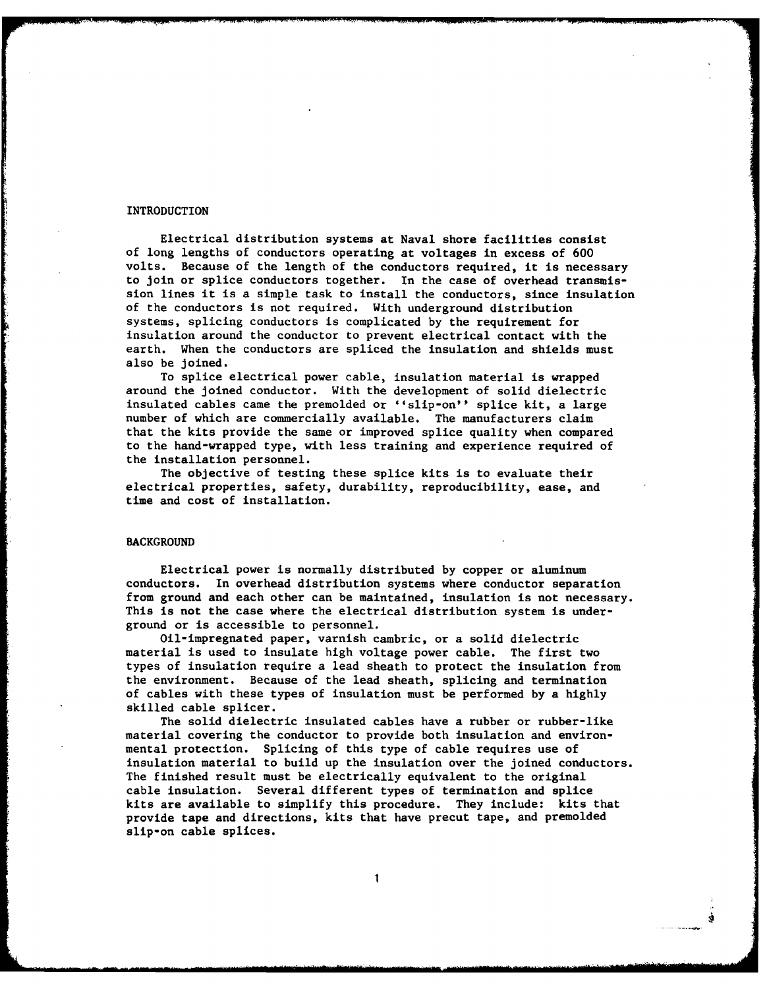### INTRODUCTION

Electrical distribution systems at Naval shore facilities consist of long lengths of conductors operating at voltages in excess of 600 volts. Because of the length of the conductors required, it is necessary to join or splice conductors together. In the case of overhead transmission lines it is a simple task to install the conductors, since insulation of the conductors is not required. With underground distribution systems, splicing conductors is complicated by the requirement for insulation around the conductor to prevent electrical contact with the earth. When the conductors are spliced the insulation and shields must also be joined.

To splice electrical power cable, insulation material is wrapped around the joined conductor. With the development of solid dielectric insulated cables came the premolded or "slip-on" splice kit, a large number of which are commercially available. The manufacturers claim that the kits provide the same or improved splice quality when compared to the hand-wrapped type, with less training and experience required of the installation personnel.

The objective of testing these splice kits is to evaluate their electrical properties, safety, durability, reproducibility, ease, and time and cost of installation.

### BACKGROUND

Electrical power is normally distributed by copper or aluminum conductors. In overhead distribution systems where conductor separation from ground and each other can be maintained, insulation is not necessary. This is not the case where the electrical distribution system is underground or is accessible to personnel.

Oil-impregnated paper, varnish cambric, or a solid dielectric material is used to insulate high voltage power cable. The first two types of insulation require a lead sheath to protect the insulation from the environment. Because of the lead sheath, splicing and termination of cables with these types of insulation must be performed by a highly skilled cable splicer.

The solid dielectric insulated cables have a rubber or rubber-like material covering the conductor to provide both insulation and environmental protection. Splicing of this type of cable requires use of insulation material to build up the insulation over the joined conductors. The finished result must be electrically equivalent to the original cable insulation. Several different types of termination and splice kits are available to simplify this procedure. They include: kits that provide tape and directions, kits that have precut tape, and premolded slip-on cable splices.

 $\mathbf{1}$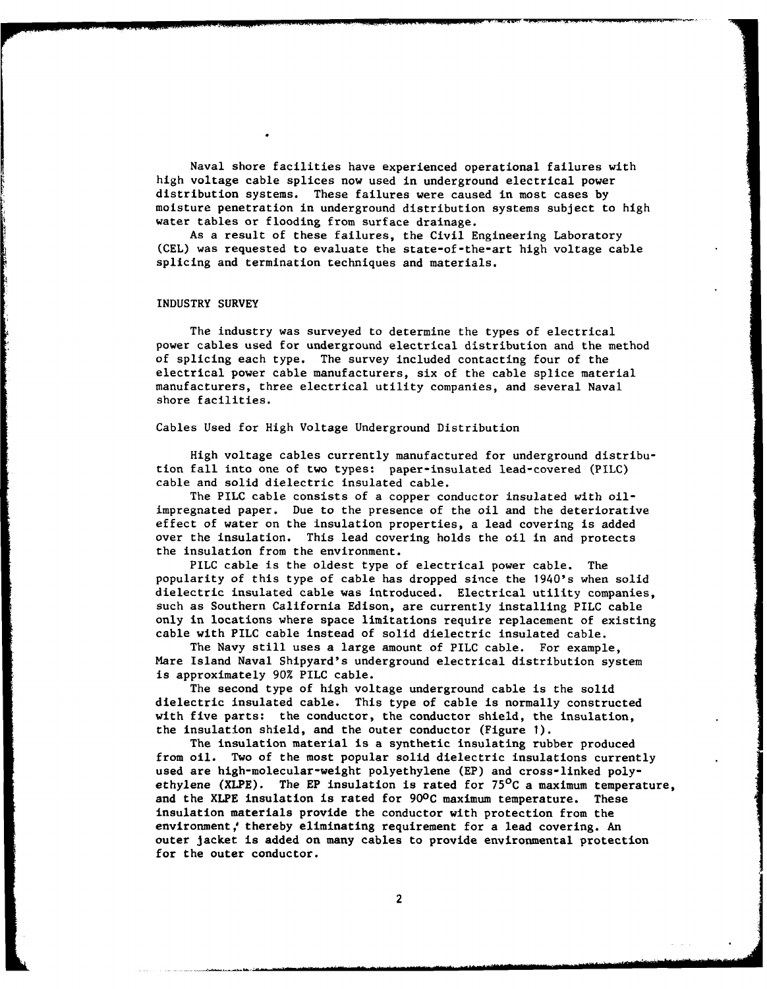Naval shore facilities have experienced operational failures with high voltage cable splices now used in underground electrical power distribution systems. These failures were caused in most cases by moisture penetration in underground distribution systems subject to high water tables or flooding from surface drainage.

As a result of these failures, the Civil Engineering Laboratory (CEL) was requested to evaluate the state-of-the-art high voltage cable splicing and termination techniques and materials.

### INDUSTRY SURVEY

The industry was surveyed to determine the types of electrical power cables used for underground electrical distribution and the method of splicing each type. The survey included contacting four of the electrical power cable manufacturers, six of the cable splice material manufacturers, three electrical utility companies, and several Naval shore facilities.

### Cables Used for High Voltage Underground Distribution

High voltage cables currently manufactured for underground distribution fall into one of two types: paper-insulated lead-covered (PILC) cable and solid dielectric insulated cable.

The PILC cable consists of a copper conductor insulated with oilimpregnated paper. Due to the presence of the oil and the deteriorative effect of water on the insulation properties, a lead covering is added over the insulation. This lead covering holds the oil in and protects the insulation from the environment.

PILC cable is the oldest type of electrical power cable. The popularity of this type of cable has dropped since the 1940's when solid dielectric insulated cable was introduced. Electrical utility companies, such as Southern California Edison, are currently installing PILC cable only in locations where space limitations require replacement of existing cable with PILC cable instead of solid dielectric insulated cable.

The Navy still uses a large amount of PILC cable. For example, Mare Island Naval Shipyard's underground electrical distribution system is approximately 90% PILC cable.

The second type of high voltage underground cable is the solid dielectric insulated cable. This type of cable is normally constructed with five parts: the conductor, the conductor shield, the insulation, the insulation shield, and the outer conductor (Figure **1).**

The insulation material is a synthetic insulating rubber produced from oil. Two of the most popular solid dielectric insulations currently used are high-molecular-weight polyethylene (EP) and cross-linked polyethylene (XLPE). The EP insulation is rated for  $75^{\circ}$ C a maximum temperature, and the XLPE insulation is rated for **900C** maximum temperature. These insulation materials provide the conductor with protection from the environment,' thereby eliminating requirement for a lead covering. An outer jacket is added on many cables to provide environmental protection for the outer conductor.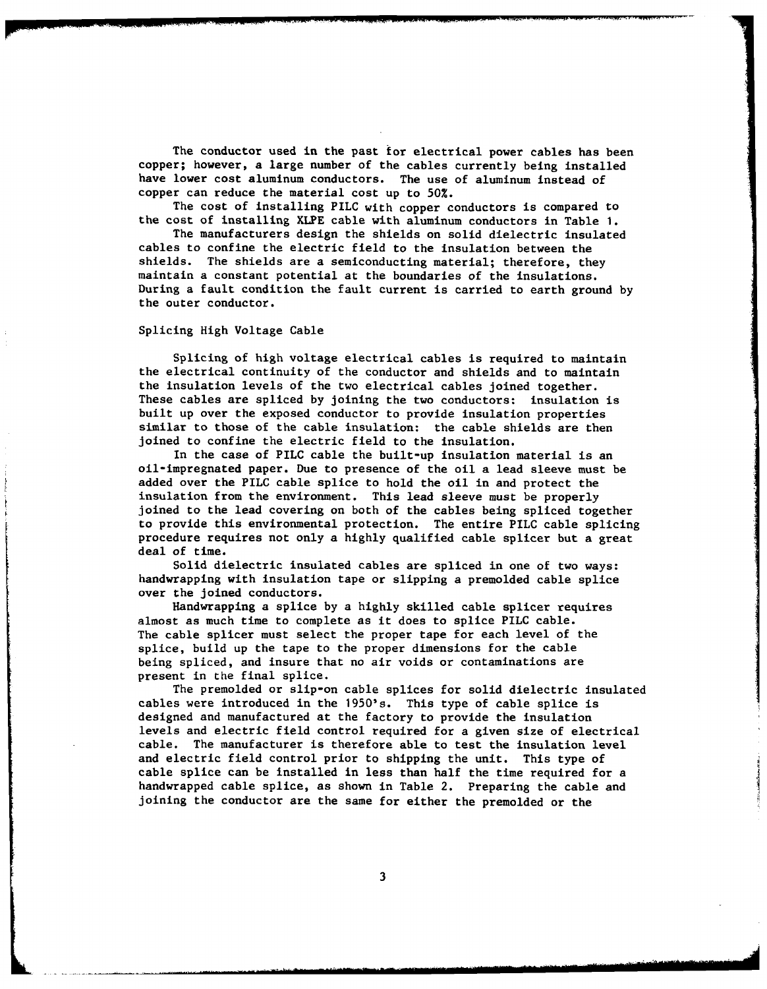The conductor used in the past for electrical power cables has been copper; however, a large number of the cables currently being installed have lower cost aluminum conductors. The use of aluminum instead of copper can reduce the material cost up to 50%.

The cost of installing PILC with copper conductors is compared to the cost of installing XLPE cable with aluminum conductors in Table **1.**

The manufacturers design the shields on solid dielectric insulated cables to confine the electric field to the insulation between the shields. The shields are a semiconducting material; therefore, they maintain a constant potential at the boundaries of the insulations. During a fault condition the fault current is carried to earth ground by the outer conductor.

Splicing High Voltage Cable

Splicing of high voltage electrical cables is required to maintain the electrical continuity of the conductor and shields and to maintain the insulation levels of the two electrical cables joined together. These cables are spliced by joining the two conductors: insulation is built up over the exposed conductor to provide insulation properties similar to those of the cable insulation: the cable shields are then joined to confine the electric field to the insulation.

In the case of PILC cable the built-up insulation material is an oil-impregnated paper. Due to presence of the oil a lead sleeve must be added over the PILC cable splice to hold the oil in and protect the insulation from the environment. This lead sleeve must be properly joined to the lead covering on both of the cables being spliced together to provide this environmental protection. The entire PILC cable splicing procedure requires not only a highly qualified cable splicer but a great deal of time.

Solid dielectric insulated cables are spliced in one of two ways: handwrapping with insulation tape or slipping a premolded cable splice over the joined conductors.

Handwrapping a splice by a highly skilled cable splicer requires almost as much time to complete as it does to splice PILC cable. The cable splicer must select the proper tape for each level of the splice, build up the tape to the proper dimensions for the cable being spliced, and insure that no air voids or contaminations are present in the final splice.

The premolded or slip-on cable splices for solid dielectric insulated cables were introduced in the 1950's. This type of cable splice is designed and manufactured at the factory to provide the insulation levels and electric field control required for a given size of electrical cable. The manufacturer is therefore able to test the insulation level and electric field control prior to shipping the unit. This type of cable splice can be installed in less than half the time required for a handwrapped cable splice, as shown in Table 2. Preparing the cable and joining the conductor are the same for either the premolded or the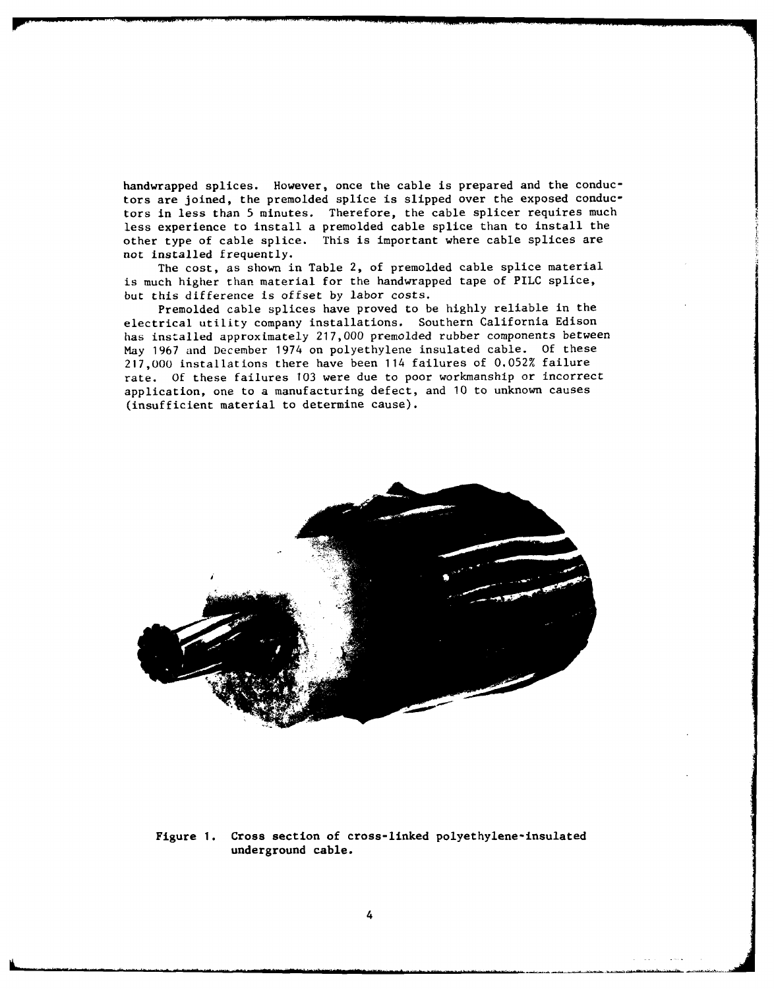handwrapped splices. However, once the cable is prepared and the conductors are joined, the premolded splice is slipped over the exposed conductors in less than 5 minutes. Therefore, the cable splicer requires much less experience to install a premolded cable splice than to install the other type of cable splice. This is important where cable splices are not installed frequently.

The cost, as shown in Table 2, of premolded cable splice material is much higher than material for the handwrapped tape of PILC splice, but this difference is offset by labor costs.

Premolded cable splices have proved to be highly reliable in the electrical utility company installations. Southern California Edison has installed approximately 217,000 premolded rubber components between May 1967 and December 1974 on polyethylene insulated cable. Of these 217,000 installations there have been 114 failures of 0.052% failure rate. Of these failures **103** were due to poor workmanship or incorrect application, one to a manufacturing defect, and 10 to unknown causes (insufficient material to determine cause).



Figure **1.** Cross section of cross-linked polyethylene-insulated underground cable.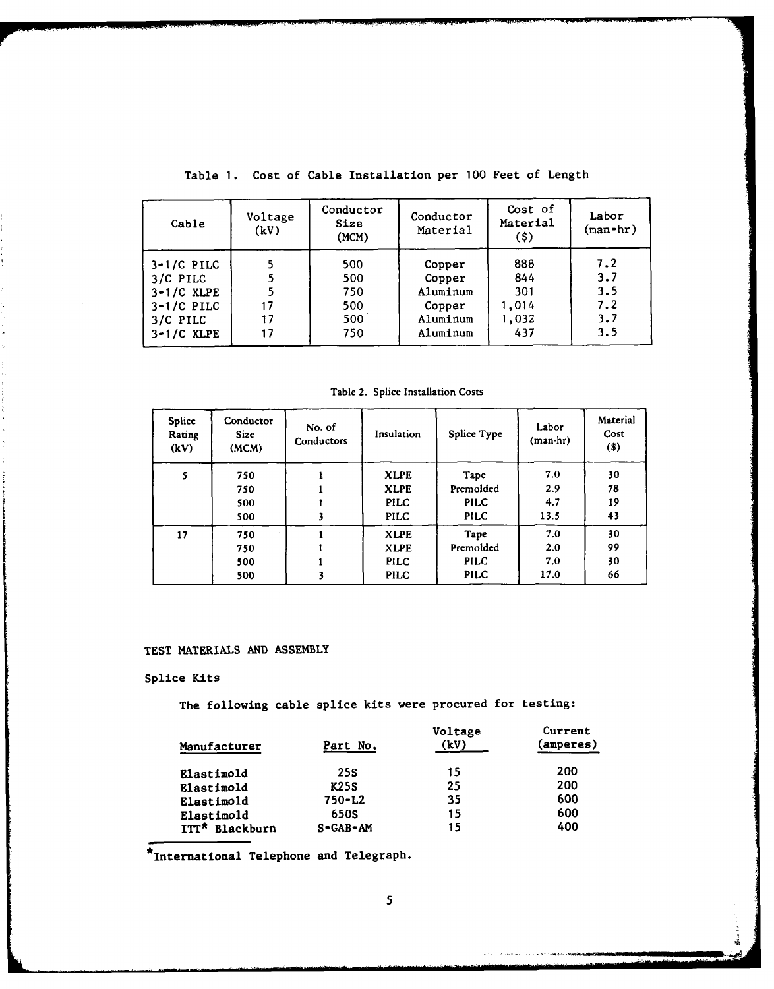| Cable                                                                                | Voltage<br>(kV)     | Conductor<br>Size<br>(MCM)             | Conductor<br>Material                                          | Cost of<br>Material<br>$($ \$ $)$          | Labor<br>$(\text{man-hr})$             |
|--------------------------------------------------------------------------------------|---------------------|----------------------------------------|----------------------------------------------------------------|--------------------------------------------|----------------------------------------|
| $3-1/C$ PILC<br>3/C PILC<br>$3-1/C$ XLPE<br>$3-1/C$ PILC<br>3/C PILC<br>$3-1/C$ XLPE | 5<br>17<br>17<br>17 | 500<br>500<br>750<br>500<br>500<br>750 | Copper<br>Copper<br>Aluminum<br>Copper<br>Aluminum<br>Aluminum | 888<br>844<br>301<br>1,014<br>1,032<br>437 | 7.2<br>3.7<br>3.5<br>7.2<br>3.7<br>3.5 |

Table **1.** Cost of Cable Installation per 100 Feet of Length

Table 2. Splice Installation Costs

| <b>Splice</b><br>Rating<br>(kV) | Conductor<br><b>Size</b><br>(MCM) | No. of<br>Conductors | Insulation  | Splice Type | Labor<br>(man-hr) | Material<br>Cost<br>$(s)$ |
|---------------------------------|-----------------------------------|----------------------|-------------|-------------|-------------------|---------------------------|
| 5                               | 750                               |                      | <b>XLPE</b> | Tape        | 7.0               | 30                        |
|                                 | 750                               |                      | <b>XLPE</b> | Premolded   | 2.9               | 78                        |
|                                 | 500                               |                      | <b>PILC</b> | <b>PILC</b> | 4.7               | 19                        |
|                                 | 500                               |                      | <b>PILC</b> | <b>PILC</b> | 13.5              | 43                        |
| 17                              | 750                               |                      | <b>XLPE</b> | Tape        | 7.0               | 30                        |
|                                 | 750                               |                      | <b>XLPE</b> | Premolded   | 2.0               | 99                        |
|                                 | 500                               |                      | <b>PILC</b> | <b>PILC</b> | 7.0               | 30                        |
|                                 | 500                               |                      | <b>PILC</b> | <b>PILC</b> | 17.0              | 66                        |

## **TEST** MATERIALS **AND** ASSEMBLY

## Splice Kits

The following cable splice kits were procured for testing:

| Manufacturer   | Part No.       | Voltage<br>(kV) | Current<br>(amperes) |
|----------------|----------------|-----------------|----------------------|
| Elastimold     | 25S            | 15              | 200                  |
| Elastimold     | <b>K25S</b>    | 25              | 200                  |
| Elastimold     | $750 - L2$     | 35              | 600                  |
| Elastimold     | 650S           | 15              | 600                  |
| ITT* Blackburn | $S - GAB - AM$ | 15              | 400                  |

\*International Telephone and Telegraph.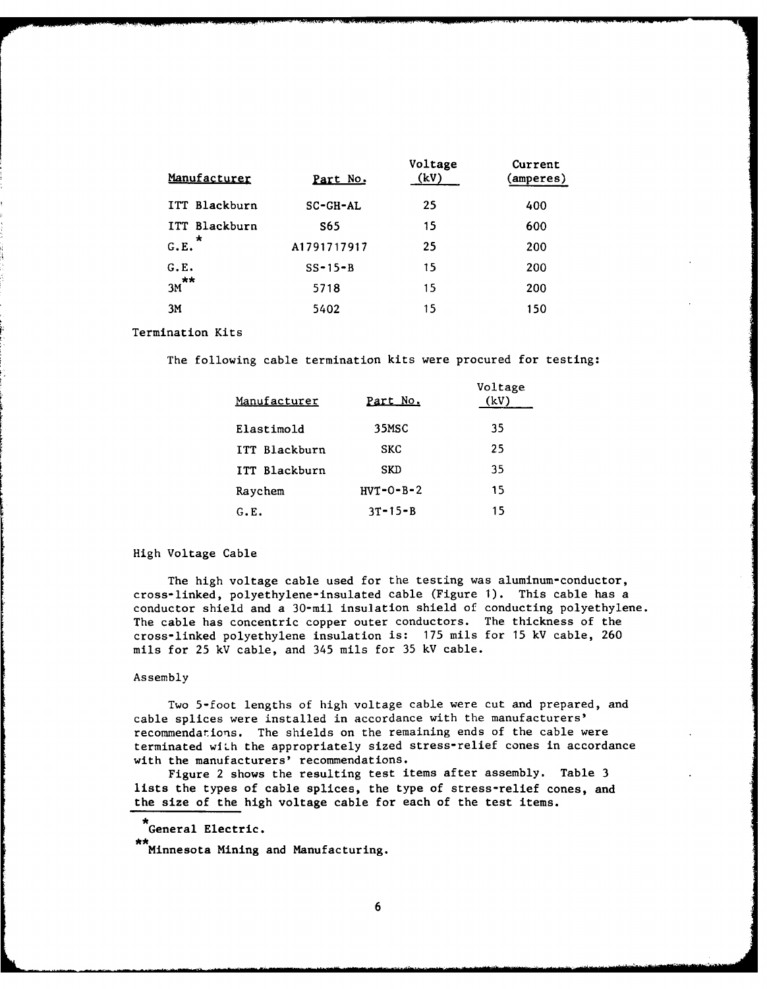| Manufacturer    | Part No.    | Voltage<br>(kV) | Current<br>(amperes) |
|-----------------|-------------|-----------------|----------------------|
| ITT Blackburn   | $SC-GH-AL$  | 25              | 400                  |
| ITT Blackburn   | S65         | 15              | 600                  |
| $\star$<br>G.E. | A1791717917 | 25              | 200                  |
| G.E.            | $SS-15-B$   | 15              | 200                  |
| $3M$ **         | 5718        | 15              | 200                  |
| 3M              | 5402        | 15              | 150                  |

Termination Kits

The following cable termination kits were procured for testing:

| Manufacturer  | Part No.      | Voltage<br>'kV) |
|---------------|---------------|-----------------|
| Elastimold    | 35MSC         | 35              |
| ITT Blackburn | <b>SKC</b>    | 25              |
| ITT Blackburn | SKD           | 35              |
| Raychem       | $HVT-O-B-2$   | 15              |
| G.E.          | $3T - 15 - B$ | 15              |

## High Voltage Cable

The high voltage cable used for the testing was aluminum-conductor, cross-linked, polyethylene-insulated cable (Figure **1).** This cable has a conductor shield and a 30-mil insulation shield of conducting polyethylene. The cable has concentric copper outer conductors. The thickness of the cross-linked polyethylene insulation is: 175 mils for **15** kV cable, 260 mils for 25 kV cable, and 345 mils for 35 kV cable.

### Assembly

Two 5-foot lengths of high voltage cable were cut and prepared, and cable splices were installed in accordance with the manufacturers' recommendations. The shields on the remaining ends of the cable were terminated wiLh the appropriately sized stress-relief cones in accordance with the manufacturers' recommendations.

Figure 2 shows the resulting test items after assembly. Table 3 lists the types of cable splices, the type of stress-relief cones, and the size of the high voltage cable for each of the test items.

# General Electric.

\*\*<br>Minnesota Mining and Manufacturing.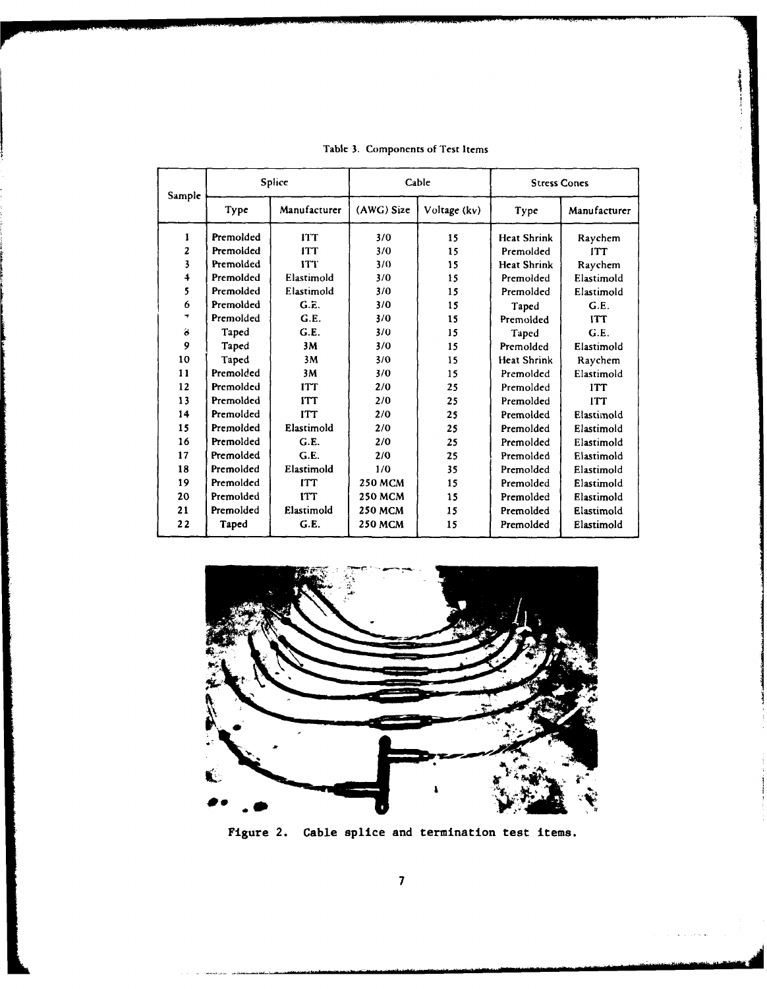| Sample           | <b>Splice</b><br>Manufacturer<br>Type |            |                | Cable        | <b>Stress Cones</b> |              |
|------------------|---------------------------------------|------------|----------------|--------------|---------------------|--------------|
|                  |                                       |            | (AWG) Size     | Voltage (kv) | Type                | Manufacturer |
| 1                | Premolded                             | <b>ITT</b> | 3/0            | 15           | <b>Heat Shrink</b>  | Raychem      |
| $\mathbf{z}$     | Premolded                             | <b>ITT</b> | 3/0            | 15           | Premolded           | <b>ITT</b>   |
| 3                | Premolded                             | <b>ITT</b> | 3/0            | 15           | <b>Heat Shrink</b>  | Raychem      |
| $\ddot{\bullet}$ | Premolded                             | Elastimold | 3/0            | 15           | Premolded           | Elastimold   |
| 5                | Premolded                             | Elastimold | 3/0            | 15           | Premolded           | Elastimold   |
| 6                | Premolded                             | G.E.       | 3/0            | 15           | Taped               | G.E.         |
| ÷                | Premolded                             | G.E.       | 3/0            | 15           | Premoided           | <b>ITT</b>   |
| ä                | Taped                                 | G.E.       | 3/0            | 15           | Taped               | G.E.         |
| 9                | Taped                                 | 3M         | 3/0            | 15           | Premolded           | Elastimold   |
| 10               | Taped                                 | 3M         | 3/0            | 15           | <b>Heat Shrink</b>  | Raychem      |
| 11               | Premolded                             | 3M         | 3/0            | 15           | Premolded           | Elastimold   |
| 12               | Premolded                             | <b>ITT</b> | 2/0            | 25           | Premolded           | <b>ITT</b>   |
| 13               | Premolded                             | <b>ITT</b> | 2/0            | 25           | Premolded           | <b>ITT</b>   |
| 14               | Premolded                             | <b>ITT</b> | 2/0            | 25           | Premolded           | Elastimold   |
| 15               | Premolded                             | Elastimold | 2/0            | 25           | Premolded           | Elastimold   |
| 16               | Premolded                             | G.E.       | 2/0            | 25           | Premolded           | Elastimold   |
| 17               | Premolded                             | G.E.       | 2/0            | 25           | Premolded           | Elastimold   |
| 18               | Premolded                             | Elastimold | 1/0            | 35           | Premolded           | Elastimold   |
| 19               | Premolded                             | <b>ITT</b> | <b>250 MCM</b> | 15           | Premolded           | Elastimold   |
| 20               | Premolded                             | <b>ITT</b> | <b>250 MCM</b> | 15           | Premolded           | Elastimold   |
| 21               | Premolded                             | Elastimold | <b>250 MCM</b> | 15           | Premolded           | Elastimold   |
| 22               | Taped                                 | G.E.       | <b>250 MCM</b> | 15           | Premolded           | Elastimold   |

Table 3. Components of Test Items



Figure 2. Cable splice and termination test items.

**7**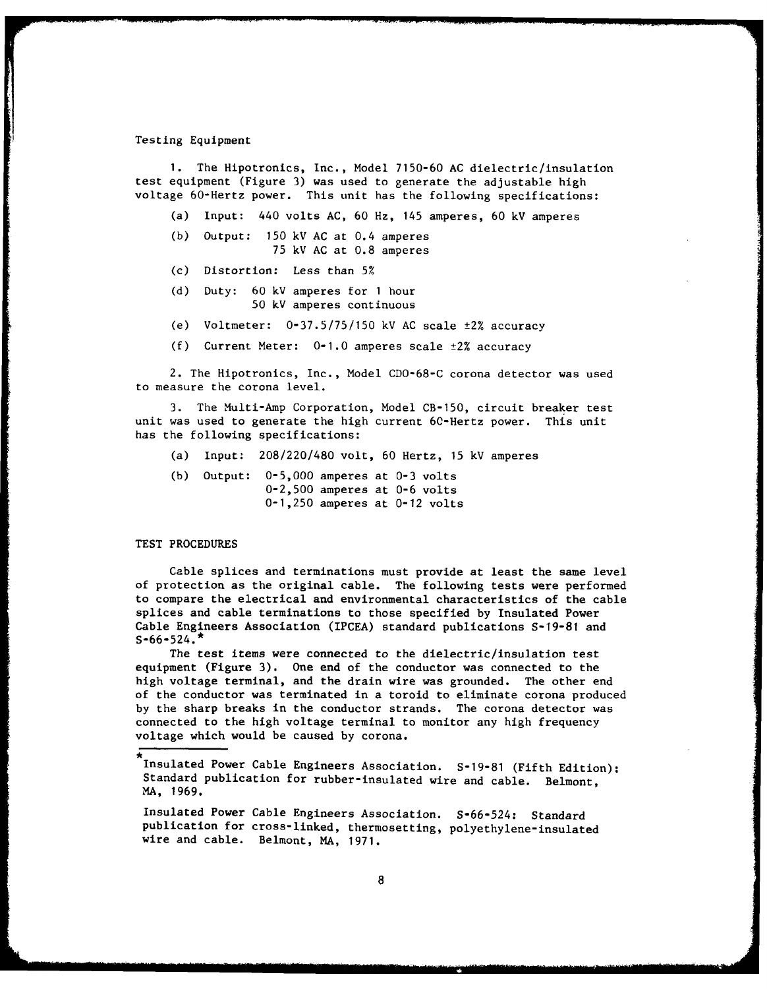## Testing Equipment

**1.** The Hipotronics, Inc., Model 7150-60 AC dielectric/insulation test equipment (Figure 3) was used to generate the adjustable high voltage 60-Hertz power. This unit has the following specifications:

(a) Input: 440 volts AC, 60 Hz, 145 amperes, 60 kV amperes

- (b) Output: 150 kV AC at 0.4 amperes 75 kV AC at 0.8 amperes
- (c) Distortion: Less than 5%
- (d) Duty: 60 kV amperes for **1** hour 50 kV amperes continuous
- (e) Voltmeter:  $0-37.5/75/150$  kV AC scale  $\pm 2\%$  accuracy
- (f) Current Meter: 0-1.0 amperes scale ±2% accuracy

2. The Hipotronics, Inc., Model CDO-68-C corona detector was used to measure the corona level.

3. The Multi-Amp Corporation, Model CB-150, circuit breaker test unit was used to generate the high current 60-Hertz power. This unit has the following specifications:

- (a) Input: 208/220/480 volt, 60 Hertz, 15 kV amperes
- (b) Output: 0-5,000 amperes at 0-3 volts 0-2,500 amperes at 0-6 volts 0-1,250 amperes at 0-12 volts

TEST PROCEDURES

Cable splices and terminations must provide at least the same level of protection as the original cable. The following tests were performed to compare the electrical and environmental characteristics of the cable splices and cable terminations to those specified by Insulated Power Cable Engineers Association (IPCEA) standard publications S-19-81 and  $S-66-524.$ \*

The test items were connected to the dielectric/insulation test equipment (Figure 3). One end of the conductor was connected to the high voltage terminal, and the drain wire was grounded. The other end of the conductor was terminated in a toroid to eliminate corona produced by the sharp breaks in the conductor strands. The corona detector was connected to the high voltage terminal to monitor any high frequency voltage which would be caused by corona.

Insulated Power Cable Engineers Association. S-19-81 (Fifth Edition): Standard publication for rubber-insulated wire and cable. Belmont, MA, 1969.

Insulated Power Cable Engineers Association. S-66-524: Standard publication for cross-linked, thermosetting, polyethylene-insulated wire and cable. Belmont, MA, 1971.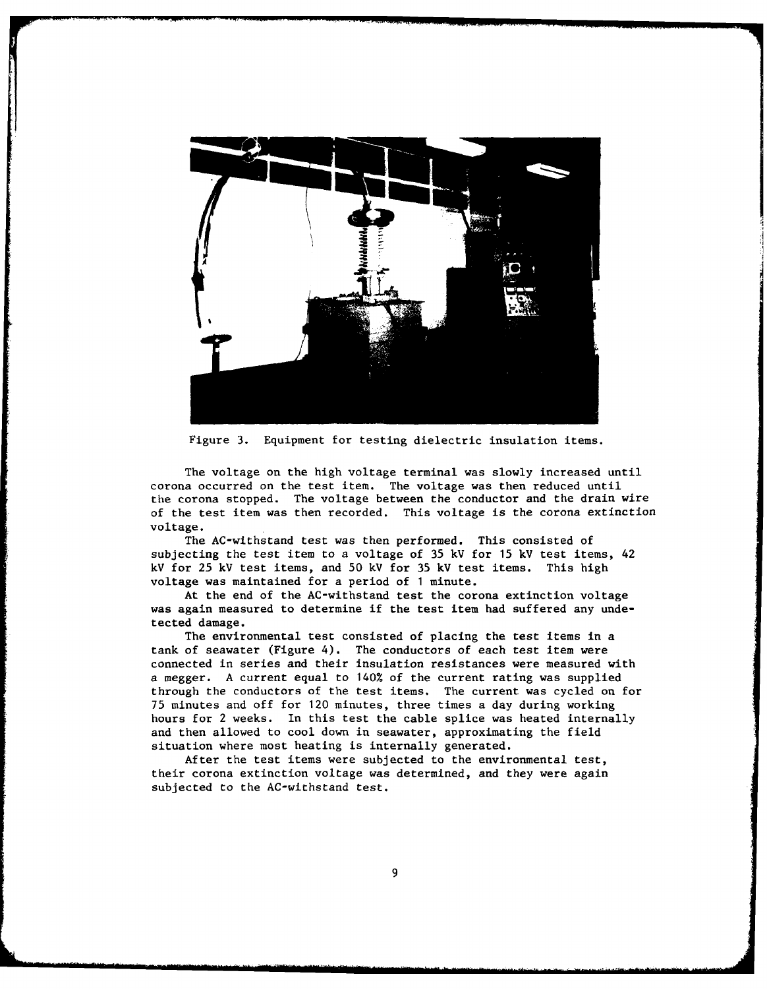

Figure 3. Equipment for testing dielectric insulation items.

The voltage on the high voltage terminal was slowly increased until corona occurred on the test item. The voltage was then reduced until the corona stopped. The voltage between the conductor and the drain wire of the test item was then recorded. This voltage is the corona extinction voltage.

The AC-withstand test was then performed. This consisted of subjecting the test item to a voltage of 35 kV for 15 kV test items, 42 kV for 25 kV test items, and 50 kV for 35 kV test items. This high voltage was maintained for a period of **1** minute.

At the end of the AC-withstand test the corona extinction voltage was again measured to determine if the test item had suffered any undetected damage.

The environmental test consisted of placing the test items in a tank of seawater (Figure 4). The conductors of each test item were connected in series and their insulation resistances were measured with a megger. A current equal to 140% of the current rating was supplied through the conductors of the test items. The current was cycled on for 75 minutes and off for 120 minutes, three times a day during working hours for 2 weeks. In this test the cable splice was heated internally and then allowed to cool down in seawater, approximating the field situation where most heating is internally generated.

After the test items were subjected to the environmental test, their corona extinction voltage was determined, and they were again subjected to the AC-withstand test.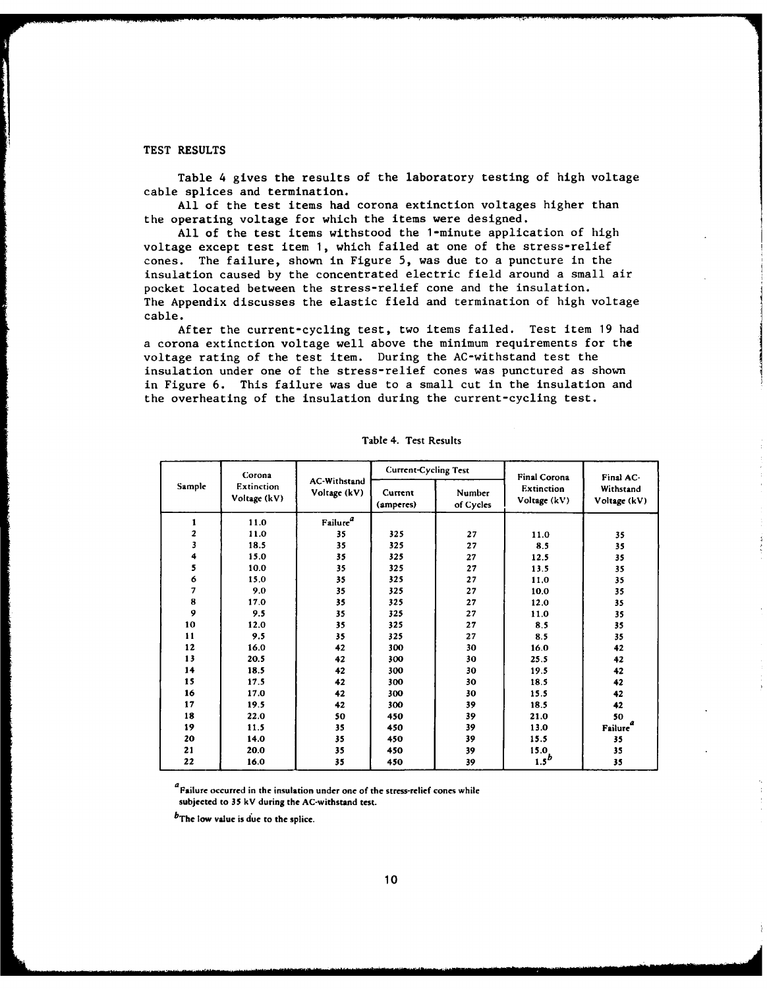## TEST RESULTS

Table 4 gives the results of the laboratory testing of high voltage cable splices and termination.

All of the test items had corona extinction voltages higher than the operating voltage for which the items were designed.

All of the test items withstood the 1-minute application of high voltage except test item **1,** which failed at one of the stress-relief cones. The failure, shown in Figure 5, was due to a puncture in the insulation caused by the concentrated electric field around a small air pocket located between the stress-relief cone and the insulation. The Appendix discusses the elastic field and termination of high voltage cable.

After the current-cycling test, two items failed. Test item 19 had a corona extinction voltage well above the minimum requirements for the voltage rating of the test item. During the AC-withstand test the insulation under one of the stress-relief cones was punctured as shown in Figure 6. This failure was due to a small cut in the insulation and the overheating of the insulation during the current-cycling test.

|        | Corona                     |                              | <b>Current-Cycling Test</b> |                     | Final Corona               | Final AC-                 |
|--------|----------------------------|------------------------------|-----------------------------|---------------------|----------------------------|---------------------------|
| Sample | Extinction<br>Voltage (kV) | AC-Withstand<br>Voltage (kV) | Current<br>(amperes)        | Number<br>of Cycles | Extinction<br>Voltage (kV) | Withstand<br>Voltage (kV) |
| 1      | 11.0                       | Failure $\real^d$            |                             |                     |                            |                           |
| 2      | 11.0                       | 35                           | 325                         | 27                  | 11.0                       | 35                        |
| 3      | 18.5                       | 35                           | 325                         | 27                  | 8.5                        | 35                        |
| 4      | 15.0                       | 35                           | 325                         | 27                  | 12.5                       | 35                        |
| 5      | 10.0                       | 35                           | 325                         | 27                  | 13.5                       | 35                        |
| 6      | 15.0                       | 35                           | 325                         | 27                  | 11.0                       | 35                        |
| 7      | 9.0                        | 35                           | 325                         | 27                  | 10.0                       | 35                        |
| 8      | 17.0                       | 35                           | 325                         | 27                  | 12.0                       | 35                        |
| 9      | 9.5                        | 35                           | 325                         | 27                  | 11.0                       | 35                        |
| 10     | 12.0                       | 35                           | 325                         | 27                  | 8.5                        | 35                        |
| 11     | 9.5                        | 35                           | 325                         | 27                  | 8.5                        | 35                        |
| 12     | 16.0                       | 42                           | 300                         | 30                  | 16.0                       | 42                        |
| 13     | 20.5                       | 42                           | 300                         | 30                  | 25.5                       | 42                        |
| 14     | 18.5                       | 42                           | 300                         | 30                  | 19.5                       | 42                        |
| 15     | 17.5                       | 42                           | 300                         | 30                  | 18.5                       | 42                        |
| 16     | 17.0                       | 42                           | 300                         | 30                  | 15.5                       | 42                        |
| 17     | 19.5                       | 42                           | 300                         | 39                  | 18.5                       | 42                        |
| 18     | 22.0                       | 50                           | 450                         | 39                  | 21.0                       | 50                        |
| 19     | 11.5                       | 35                           | 450                         | 39                  | 13.0                       | a<br><b>Failure</b>       |
| 20     | 14.0                       | 35                           | 450                         | 39                  | 15.5                       | 35                        |
| 21     | 20.0                       | 35                           | 450                         | 39                  | 15.0                       | 35                        |
| 22     | 16.0                       | 35                           | 450                         | 39                  | $1.5^b$                    | 35                        |

Table 4. Test Results

**Falure occurred in the insulation under one of the stress-relief cones while subjected to 35 kV during the AC-withstand test.**

**bThe low value is due to the splice.**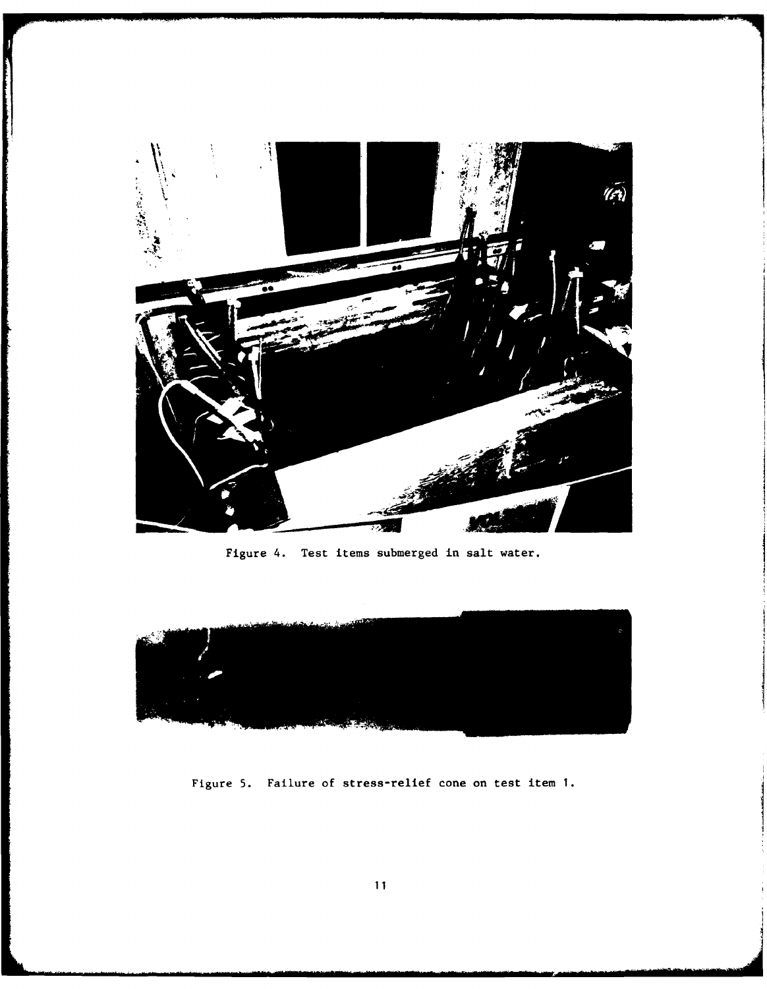

Figure 4. Test items submerged in salt water.



Figure 5. Failure of stress-relief cone on test item **1.**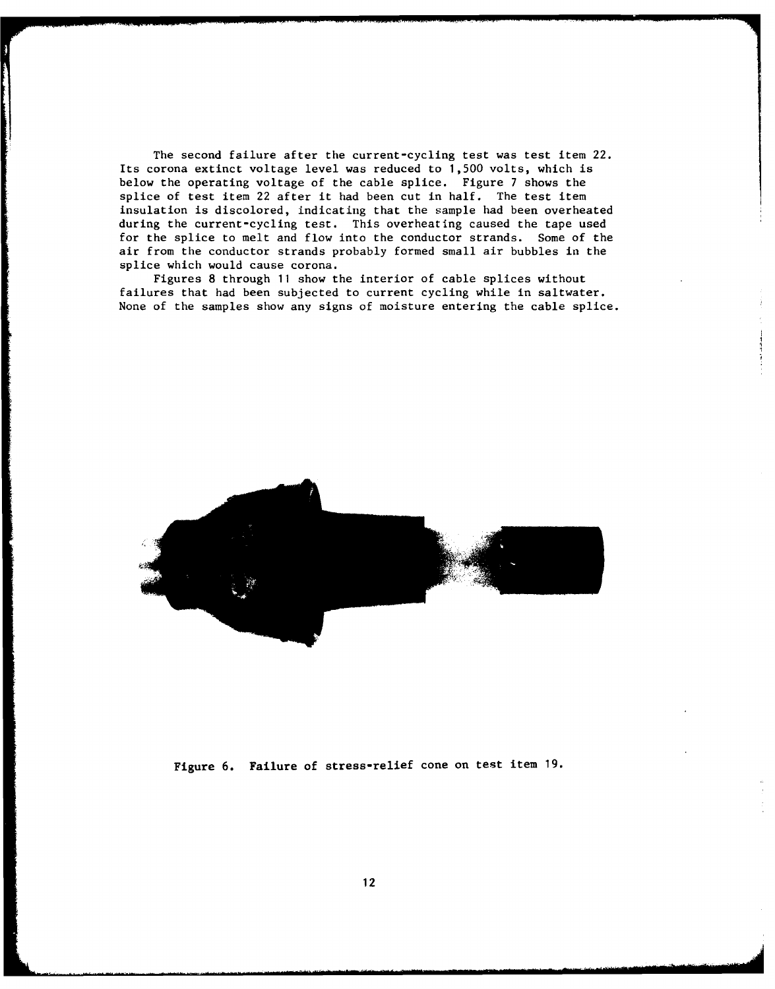The second failure after the current-cycling test was test item 22. Its corona extinct voltage level was reduced to 1,500 volts, which is below the operating voltage of the cable splice. Figure 7 shows the splice of test item 22 after it had been cut in half. The test item insulation is discolored, indicating that the sample had been overheated during the current-cycling test. This overheating caused the tape used for the splice to melt and flow into the conductor strands. Some of the air from the conductor strands probably formed small air bubbles in the splice which would cause corona.

Figures 8 through 11 show the interior of cable splices without failures that had been subjected to current cycling while in saltwater. None of the samples show any signs of moisture entering the cable splice.



Figure 6. Failure of stress-relief cone on test item 19.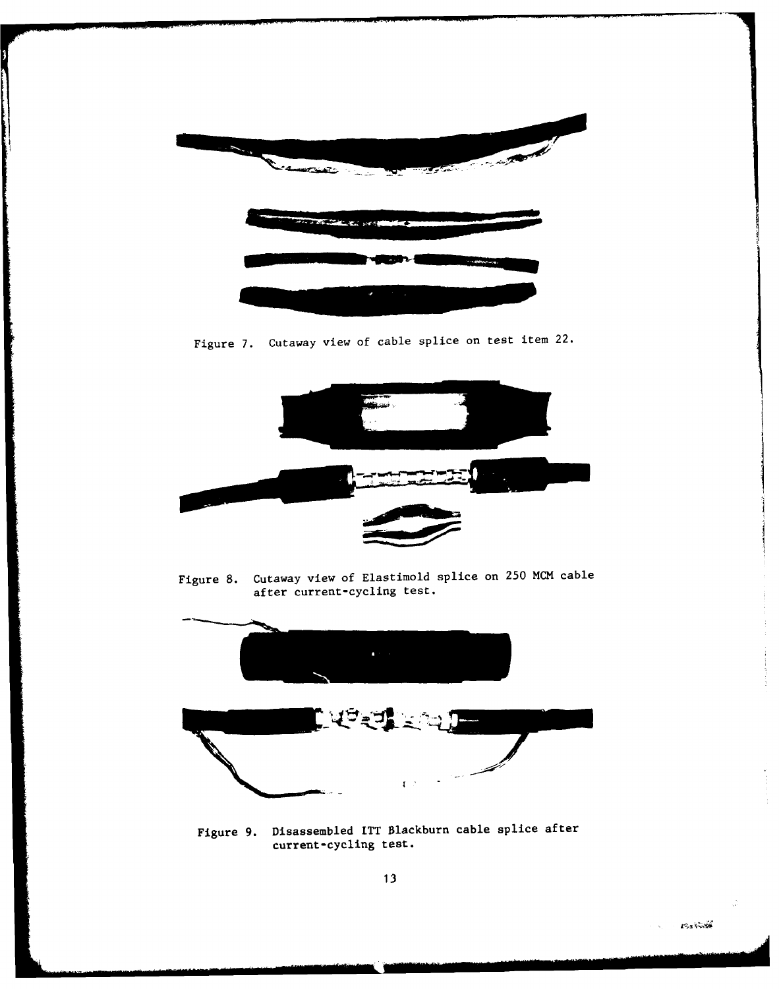

Figure 7. Cutaway view of cable splice on test item 22.



Figure 8. Cutaway view of Elastimold splice on 250 MCM cable after current-cycling test.



Figure **9.** Disassembled ITT Blackburn cable splice after current-cycling test.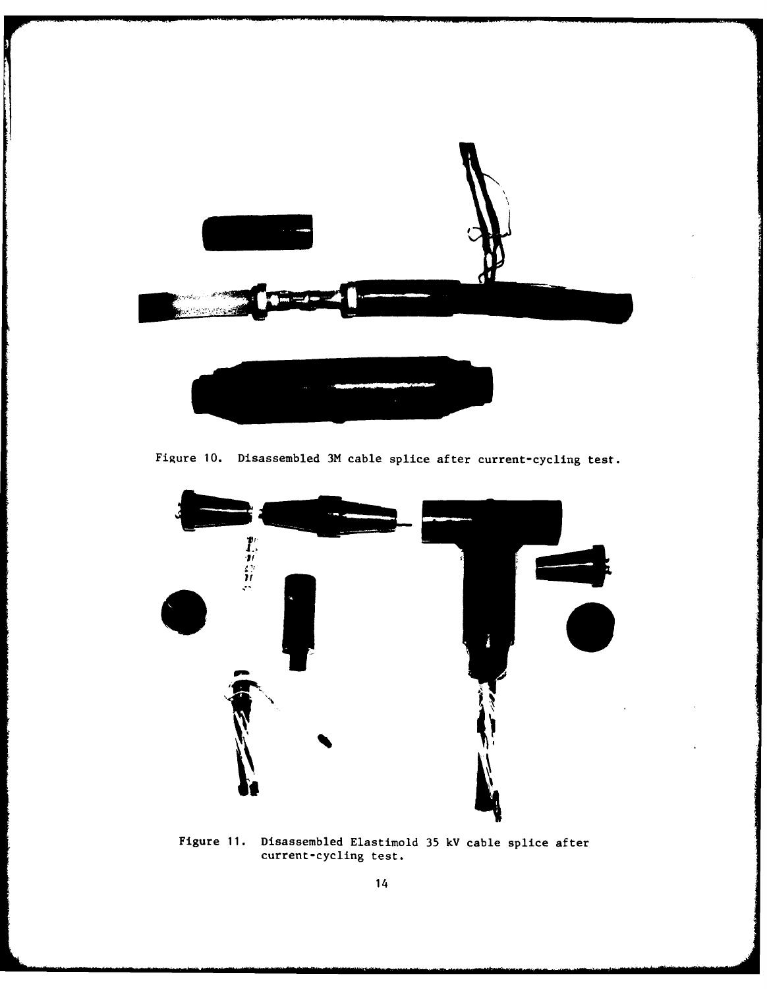

Figure **10.** Disassembled 3M cable splice after current-cycling test.



Figure **11.** Disassembled Elastimold **35 kV** cable splice after current-cycling test.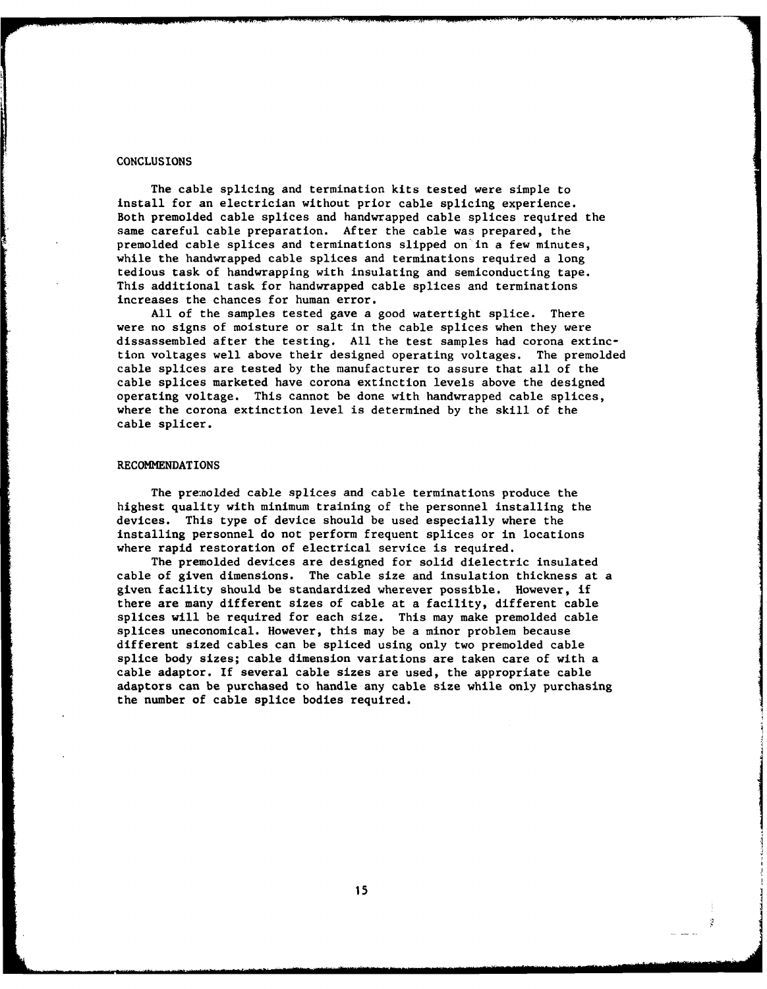#### **CONCLUSIONS**

The cable splicing and termination kits tested were simple to install for an electrician without prior cable splicing experience. Both premolded cable splices and handwrapped cable splices required the same careful cable preparation. After the cable was prepared, the premolded cable splices and terminations slipped on in a few minutes, while the handwrapped cable splices and terminations required a long tedious task of handwrapping with insulating and semiconducting tape. This additional task for handwrapped cable splices and terminations increases the chances for human error.

All of the samples tested gave a good watertight splice. There were no signs of moisture or salt in the cable splices when they were dissassembled after the testing. All the test samples had corona extinction voltages well above their designed operating voltages. The premolded cable splices are tested by the manufacturer to assure that all of the cable splices marketed have corona extinction levels above the designed operating voltage. This cannot be done with handwrapped cable splices, where the corona extinction level is determined by the skill of the cable splicer.

### RECOMMENDATIONS

The premolded cable splices and cable terminations produce the highest quality with minimum training of the personnel installing the devices. This type of device should be used especially where the installing personnel do not perform frequent splices or in locations where rapid restoration of electrical service is required.

The premolded devices are designed for solid dielectric insulated cable of given dimensions. The cable size and insulation thickness at a given facility should be standardized wherever possible. However, if there are many different sizes of cable at a facility, different cable splices will be required for each size. This may make premolded cable splices uneconomical. However, this may be a minor problem because different sized cables can be spliced using only two premolded cable splice body sizes; cable dimension variations are taken care of with a cable adaptor. If several cable sizes are used, the appropriate cable adaptors can be purchased to handle any cable size while only purchasing the number of cable splice bodies required.

Ż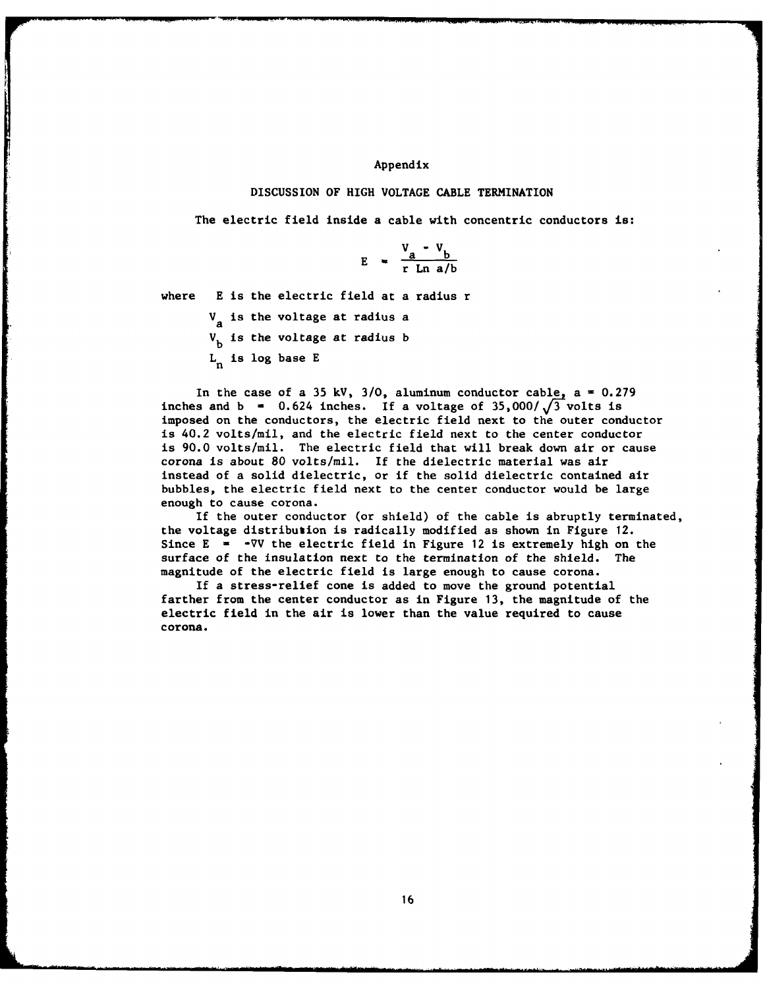## Appendix

## DISCUSSION OF HIGH **VOLTAGE CABLE** TERMINATION

The electric field inside a cable with concentric conductors **is:**

$$
E = \frac{V_a - V_b}{r \ln a/b}
$$

where E is the electric field at a radius r

V<sub>a</sub> is the voltage at radius a  $V<sub>b</sub>$  is the voltage at radius b  $L_n$  is log base E

In the case of a 35 kV,  $3/0$ , aluminum conductor cable,  $a = 0.279$ inches and  $b = 0.624$  inches. If a voltage of  $35,000/\sqrt{3}$  volts is imposed on the conductors, the electric field next to the outer conductor is 40.2 volts/mil, and the electric field next to the center conductor is 90.0 volts/mil. The electric field that will break down air or cause corona is about 80 volts/mil. If the dielectric material was air instead of a solid dielectric, or if the solid dielectric contained air bubbles, the electric field next to the center conductor would be large enough to cause corona.

If the outer conductor (or shield) of the cable is abruptly terminated, the voltage distribution is radically modified as shown in Figure 12. Since  $E = -\nabla V$  the electric field in Figure 12 is extremely high on the surface of the insulation next to the termination of the shield. The magnitude of the electric field is large enough to cause corona.

If a stress-relief cone is added to move the ground potential farther from the center conductor as in Figure 13, the magnitude of the electric field in the air is lower than the value required to cause corona.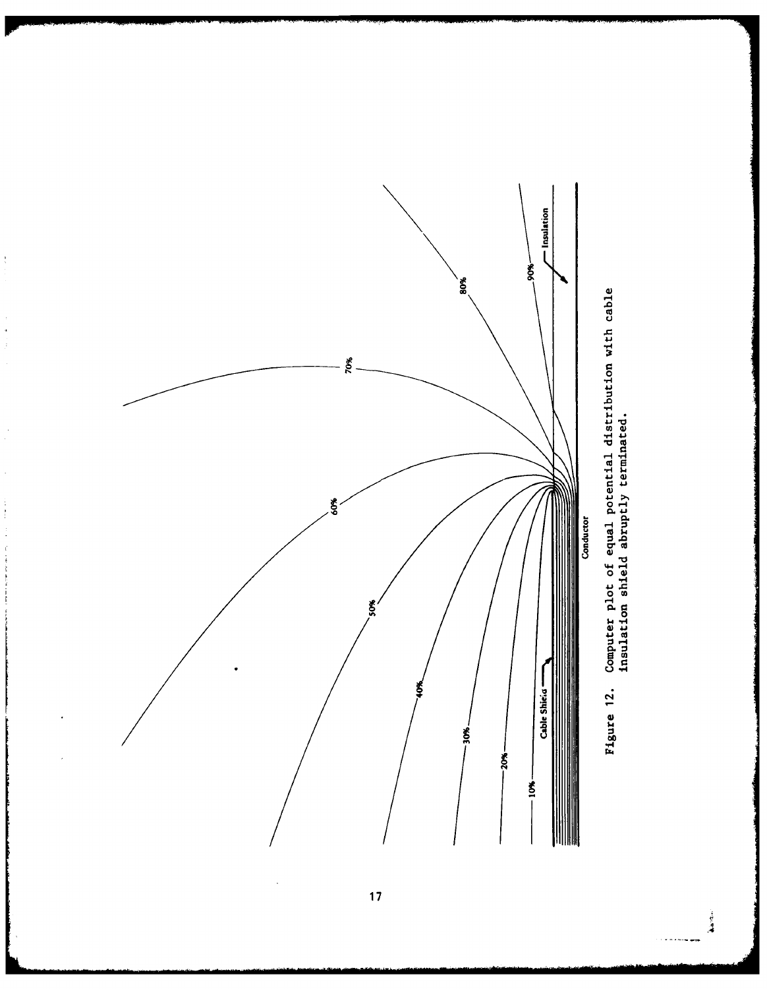

 $\frac{1}{3}$ 

 $\begin{aligned} \mathcal{L}_{\mathcal{A}}^{\mathcal{A}}(\mathcal{A}) & = \mathcal{L}_{\mathcal{A}}^{\mathcal{A}}(\mathcal{A}) \mathcal{A}^{\mathcal{A}}(\mathcal{A}) \\ & = \mathcal{L}_{\mathcal{A}}^{\mathcal{A}}(\mathcal{A}) \mathcal{A}^{\mathcal{A}}(\mathcal{A}) \end{aligned}$ 

J.

 $\begin{array}{c} 1 \\ 1 \\ 2 \end{array}$ 

 $\frac{1}{2}$ 

**-H 4i 0** 모 - 음 **0 00)** '4 **4J**

 $\frac{1}{2}$  ,  $\frac{1}{2}$ 

 $17$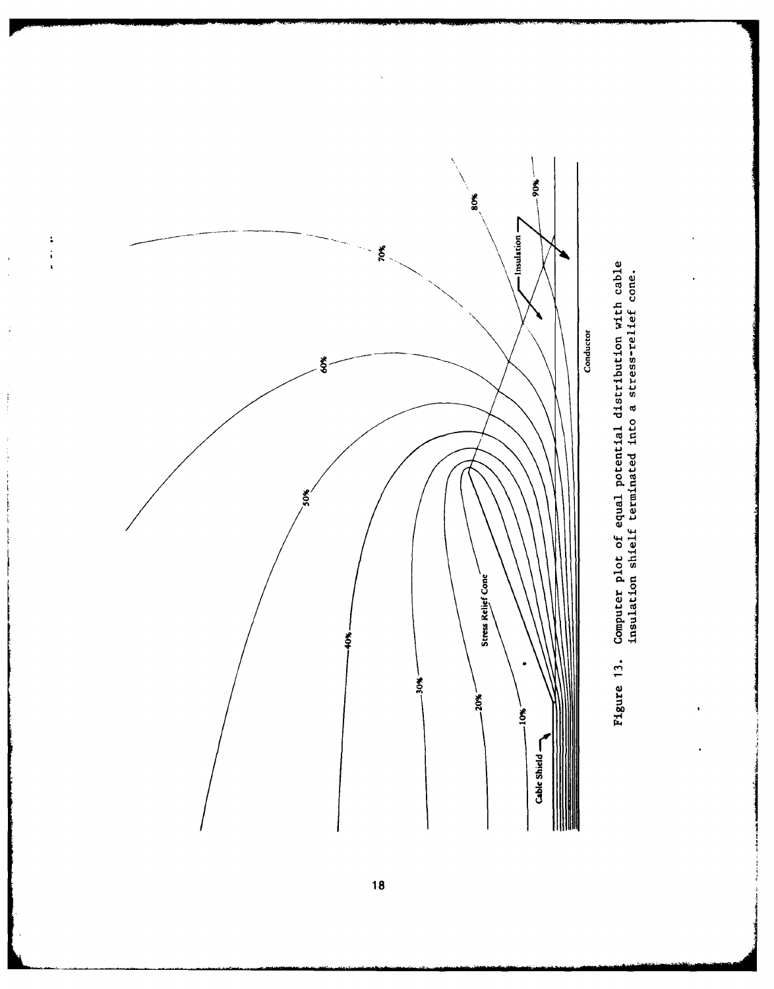

 $\begin{array}{c} 1 \\ 1 \\ 1 \\ 1 \end{array}$ 

 $\frac{1}{2}$ 

 $\frac{1}{2}$ 

 $\begin{array}{c} \frac{1}{2} \\ \frac{1}{2} \end{array}$ 



18